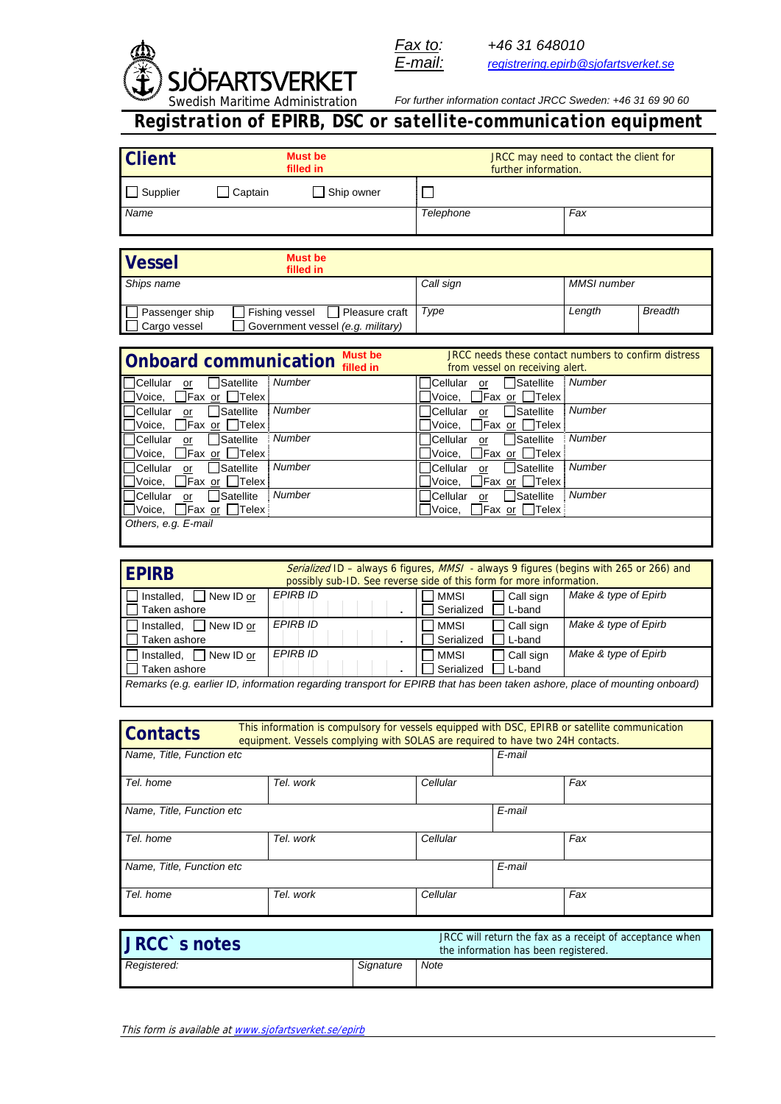



*Fax to: +46 31 648010 E-mail: registrering.epirb@sjofartsverket.se*

*For further information contact JRCC Sweden: +46 31 69 90 60* 

*Registration of EPIRB, DSC or satellite-communication equipment*

| <b>Client</b><br><b>Must be</b><br>filled in                                                                                                                                                        |                                         | JRCC may need to contact the client for<br>further information.      |                                                                                        |
|-----------------------------------------------------------------------------------------------------------------------------------------------------------------------------------------------------|-----------------------------------------|----------------------------------------------------------------------|----------------------------------------------------------------------------------------|
| $\bigsqcup$ Supplier<br>Captain                                                                                                                                                                     | Ship owner                              | $\Box$                                                               |                                                                                        |
| Name                                                                                                                                                                                                |                                         | Telephone                                                            | Fax                                                                                    |
|                                                                                                                                                                                                     |                                         |                                                                      |                                                                                        |
|                                                                                                                                                                                                     | <b>Must be</b>                          |                                                                      |                                                                                        |
| <b>Vessel</b>                                                                                                                                                                                       | filled in                               |                                                                      |                                                                                        |
| Ships name                                                                                                                                                                                          |                                         | Call sign                                                            | <b>MMSI</b> number                                                                     |
| Passenger ship                                                                                                                                                                                      | Fishing vessel<br>$\Box$ Pleasure craft | Type                                                                 | <b>Breadth</b><br>Length                                                               |
| Cargo vessel                                                                                                                                                                                        | Government vessel (e.g. military)       |                                                                      |                                                                                        |
|                                                                                                                                                                                                     |                                         |                                                                      |                                                                                        |
| JRCC needs these contact numbers to confirm distress<br><b>Must be</b><br><b>Onboard communication</b><br>filled in<br>from vessel on receiving alert.                                              |                                         |                                                                      |                                                                                        |
| Satellite<br><b>Cellular</b><br>or<br>Voice,<br>Fax or<br>Telex                                                                                                                                     | <b>Number</b>                           | İCellular<br>Satellite<br>or<br>Voice,<br>Fax or                     | <b>Number</b><br>Telex                                                                 |
| Satellite<br><b>Cellular</b><br>or<br>$\Box$ Fax or $\Box$ Telex<br>Voice,                                                                                                                          | Number                                  | Satellite<br>Cellular<br>$\overline{or}$<br>Fax or □Telex<br>Voice,  | Number                                                                                 |
| Satellite<br>lCellular<br>or                                                                                                                                                                        | <b>Number</b>                           | <b>Satellite</b><br>lCellular<br>or                                  | Number                                                                                 |
| ]Fax <u>or</u> □Telex<br>Voice,<br>Satellite<br><b>Cellular</b><br>or                                                                                                                               | <b>Number</b>                           | Fax or<br>Voice,<br>Satellite<br>Cellular<br>or                      | $\Box$ Telex<br>Number                                                                 |
| Voice,<br>$ Fax \text{ or }  $ Telex<br>Satellite<br><b>ICellular</b><br>or                                                                                                                         | Number                                  | Voice,<br>Fax or<br><b>ISatellite</b><br><b>Cellular</b><br>or       | Telex<br>Number                                                                        |
| Voice,<br>Fax or Telex                                                                                                                                                                              |                                         | ]Fax or □Telex<br>Voice.                                             |                                                                                        |
| Others, e.g. E-mail                                                                                                                                                                                 |                                         |                                                                      |                                                                                        |
|                                                                                                                                                                                                     |                                         |                                                                      |                                                                                        |
|                                                                                                                                                                                                     |                                         |                                                                      |                                                                                        |
| <b>EPIRB</b>                                                                                                                                                                                        |                                         | possibly sub-ID. See reverse side of this form for more information. | Serialized ID - always 6 figures, MMSI - always 9 figures (begins with 265 or 266) and |
| Installed,<br>$\Box$ New ID or<br>Taken ashore                                                                                                                                                      | <b>EPIRB ID</b>                         | <b>MMSI</b><br>Call sign<br>Serialized<br>L-band                     | Make & type of Epirb                                                                   |
| Installed, $\Box$ New ID or                                                                                                                                                                         | <b>EPIRB ID</b>                         | <b>MMSI</b><br>Call sign                                             | Make & type of Epirb                                                                   |
| Taken ashore<br>Installed,<br>$\Box$ New ID or                                                                                                                                                      | <b>EPIRB ID</b>                         | Serialized<br>L-band<br><b>MMSI</b><br>Call sign                     | Make & type of Epirb                                                                   |
| Taken ashore                                                                                                                                                                                        |                                         | Serialized<br>L-band                                                 |                                                                                        |
| Remarks (e.g. earlier ID, information regarding transport for EPIRB that has been taken ashore, place of mounting onboard)                                                                          |                                         |                                                                      |                                                                                        |
|                                                                                                                                                                                                     |                                         |                                                                      |                                                                                        |
| This information is compulsory for vessels equipped with DSC, EPIRB or satellite communication<br><b>Contacts</b><br>equipment. Vessels complying with SOLAS are required to have two 24H contacts. |                                         |                                                                      |                                                                                        |
|                                                                                                                                                                                                     |                                         | E-mail                                                               |                                                                                        |
| Name, Title, Function etc                                                                                                                                                                           |                                         |                                                                      |                                                                                        |
| Tel. home                                                                                                                                                                                           | Tel. work                               | Cellular                                                             | Fax                                                                                    |
| Name, Title, Function etc                                                                                                                                                                           |                                         | E-mail                                                               |                                                                                        |
| Tel. home                                                                                                                                                                                           | Tel. work                               | Cellular                                                             | Fax                                                                                    |
| Name, Title, Function etc                                                                                                                                                                           |                                         | E-mail                                                               |                                                                                        |
| Tel. home                                                                                                                                                                                           | Tel. work                               | Cellular                                                             | Fax                                                                                    |
|                                                                                                                                                                                                     |                                         |                                                                      |                                                                                        |
|                                                                                                                                                                                                     |                                         |                                                                      |                                                                                        |
| JRCC will return the fax as a receipt of acceptance when<br>JRCC`s notes                                                                                                                            |                                         |                                                                      |                                                                                        |
| the information has been registered.                                                                                                                                                                |                                         |                                                                      |                                                                                        |
| Registered:                                                                                                                                                                                         | Signature                               | Note                                                                 |                                                                                        |